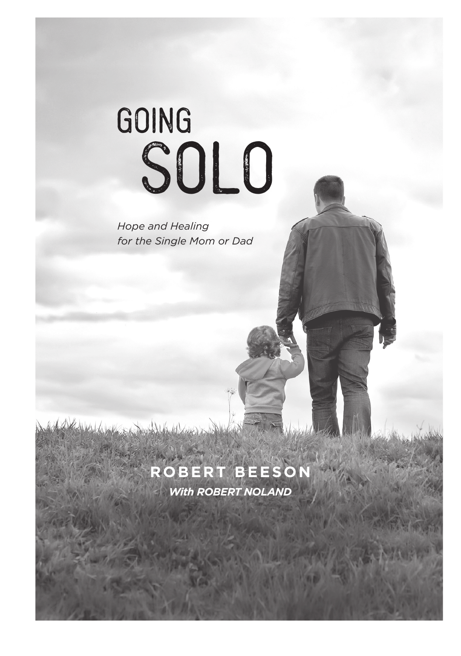# Going **SOLO**

*Hope and Healing for the Single Mom or Dad*

### **ROBERT BEESON**

*With ROBERT NOLAND*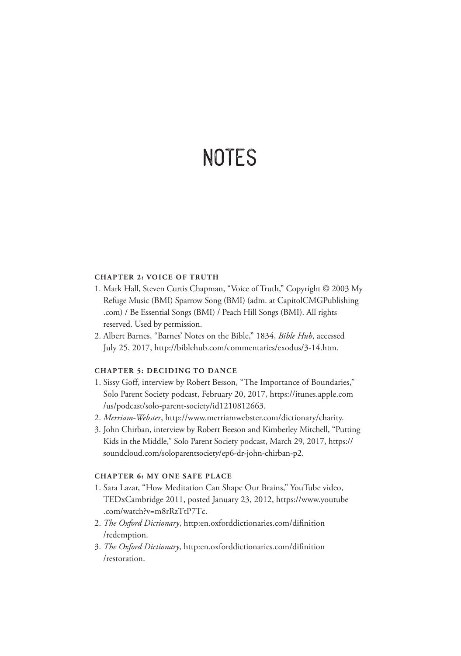## **NOTES**

#### **CHAPTER 2: VOICE OF TRUTH**

- 1. Mark Hall, Steven Curtis Chapman, "Voice of Truth," Copyright © 2003 My Refuge Music (BMI) Sparrow Song (BMI) (adm. at CapitolCMGPublishing .com) / Be Essential Songs (BMI) / Peach Hill Songs (BMI). All rights reserved. Used by permission.
- 2. Albert Barnes, "Barnes' Notes on the Bible," 1834, *Bible Hub*, accessed July 25, 2017, http://biblehub.com/commentaries/exodus/3-14.htm.

#### **CHAPTER 5: DECIDING TO DANCE**

- 1. Sissy Goff, interview by Robert Besson, "The Importance of Boundaries," Solo Parent Society podcast, February 20, 2017, https://itunes.apple.com /us/podcast/solo-parent-society/id1210812663.
- 2. *Merriam-Webster*, http://www.merriamwebster.com/dictionary/charity.
- 3. John Chirban, interview by Robert Beeson and Kimberley Mitchell, "Putting Kids in the Middle," Solo Parent Society podcast, March 29, 2017, https:// soundcloud.com/soloparentsociety/ep6-dr-john-chirban-p2.

#### **CHAPTER 6: MY ONE SAFE PLACE**

- 1. Sara Lazar, "How Meditation Can Shape Our Brains," YouTube video, TEDxCambridge 2011, posted January 23, 2012, https://www.youtube .com/watch?v=m8rRzTtP7Tc.
- 2. *The Oxford Dictionary*, http:en.oxforddictionaries.com/difinition /redemption.
- 3. *The Oxford Dictionary*, http:en.oxforddictionaries.com/difinition /restoration.